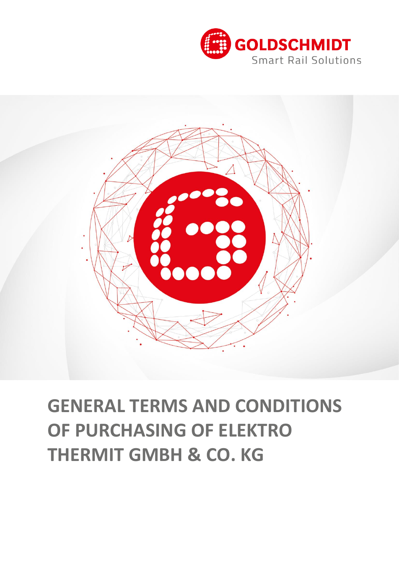

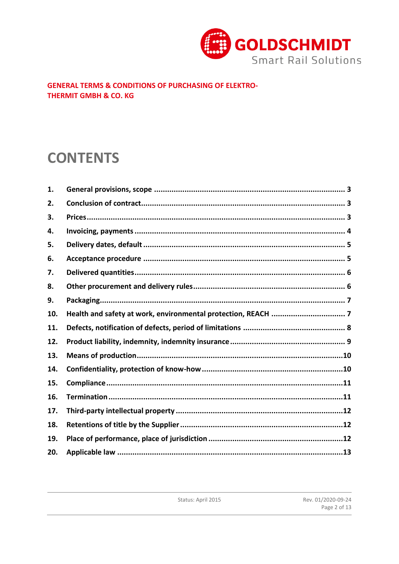

## **CONTENTS**

| 1.  |  |
|-----|--|
| 2.  |  |
| 3.  |  |
| 4.  |  |
| 5.  |  |
| 6.  |  |
| 7.  |  |
| 8.  |  |
| 9.  |  |
| 10. |  |
| 11. |  |
| 12. |  |
| 13. |  |
| 14. |  |
| 15. |  |
| 16. |  |
| 17. |  |
| 18. |  |
| 19. |  |
| 20. |  |

Status: April 2015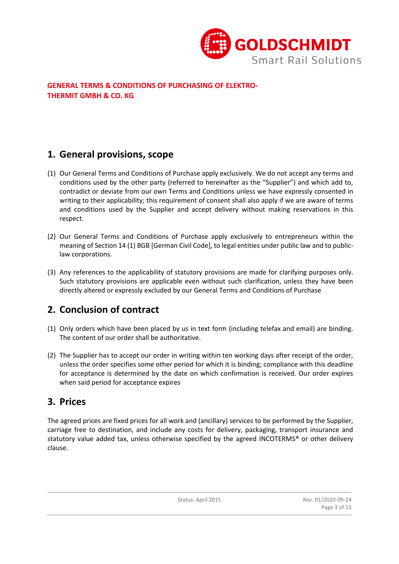

#### **1. General provisions, scope**

- (1) Our General Terms and Conditions of Purchase apply exclusively. We do not accept any terms and conditions used by the other party (referred to hereinafter as the "Supplier") and which add to, contradict or deviate from our own Terms and Conditions unless we have expressly consented in writing to their applicability; this requirement of consent shall also apply if we are aware of terms and conditions used by the Supplier and accept delivery without making reservations in this respect.
- (2) Our General Terms and Conditions of Purchase apply exclusively to entrepreneurs within the meaning of Section 14 (1) BGB [German Civil Code], to legal entities under public law and to publiclaw corporations.
- (3) Any references to the applicability of statutory provisions are made for clarifying purposes only. Such statutory provisions are applicable even without such clarification, unless they have been directly altered or expressly excluded by our General Terms and Conditions of Purchase

#### **2. Conclusion of contract**

- (1) Only orders which have been placed by us in text form (including telefax and email) are binding. The content of our order shall be authoritative.
- (2) The Supplier has to accept our order in writing within ten working days after receipt of the order, unless the order specifies some other period for which it is binding; compliance with this deadline for acceptance is determined by the date on which confirmation is received. Our order expires when said period for acceptance expires

#### **3. Prices**

The agreed prices are fixed prices for all work and (ancillary) services to be performed by the Supplier, carriage free to destination, and include any costs for delivery, packaging, transport insurance and statutory value added tax, unless otherwise specified by the agreed INCOTERMS® or other delivery clause.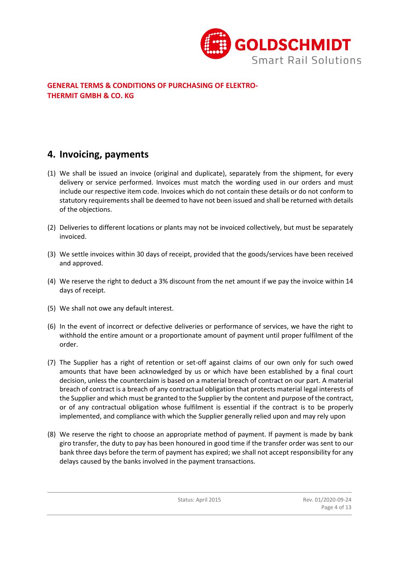

#### **4. Invoicing, payments**

- (1) We shall be issued an invoice (original and duplicate), separately from the shipment, for every delivery or service performed. Invoices must match the wording used in our orders and must include our respective item code. Invoices which do not contain these details or do not conform to statutory requirements shall be deemed to have not been issued and shall be returned with details of the objections.
- (2) Deliveries to different locations or plants may not be invoiced collectively, but must be separately invoiced.
- (3) We settle invoices within 30 days of receipt, provided that the goods/services have been received and approved.
- (4) We reserve the right to deduct a 3% discount from the net amount if we pay the invoice within 14 days of receipt.
- (5) We shall not owe any default interest.
- (6) In the event of incorrect or defective deliveries or performance of services, we have the right to withhold the entire amount or a proportionate amount of payment until proper fulfilment of the order.
- (7) The Supplier has a right of retention or set-off against claims of our own only for such owed amounts that have been acknowledged by us or which have been established by a final court decision, unless the counterclaim is based on a material breach of contract on our part. A material breach of contract is a breach of any contractual obligation that protects material legal interests of the Supplier and which must be granted to the Supplier by the content and purpose of the contract, or of any contractual obligation whose fulfilment is essential if the contract is to be properly implemented, and compliance with which the Supplier generally relied upon and may rely upon
- (8) We reserve the right to choose an appropriate method of payment. If payment is made by bank giro transfer, the duty to pay has been honoured in good time if the transfer order was sent to our bank three days before the term of payment has expired; we shall not accept responsibility for any delays caused by the banks involved in the payment transactions.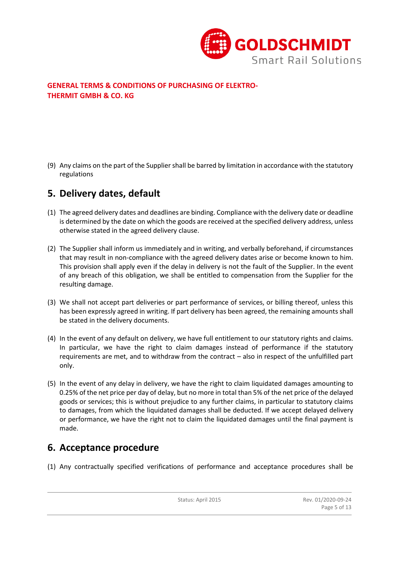

(9) Any claims on the part of the Supplier shall be barred by limitation in accordance with the statutory regulations

#### **5. Delivery dates, default**

- (1) The agreed delivery dates and deadlines are binding. Compliance with the delivery date or deadline is determined by the date on which the goods are received at the specified delivery address, unless otherwise stated in the agreed delivery clause.
- (2) The Supplier shall inform us immediately and in writing, and verbally beforehand, if circumstances that may result in non-compliance with the agreed delivery dates arise or become known to him. This provision shall apply even if the delay in delivery is not the fault of the Supplier. In the event of any breach of this obligation, we shall be entitled to compensation from the Supplier for the resulting damage.
- (3) We shall not accept part deliveries or part performance of services, or billing thereof, unless this has been expressly agreed in writing. If part delivery has been agreed, the remaining amounts shall be stated in the delivery documents.
- (4) In the event of any default on delivery, we have full entitlement to our statutory rights and claims. In particular, we have the right to claim damages instead of performance if the statutory requirements are met, and to withdraw from the contract – also in respect of the unfulfilled part only.
- (5) In the event of any delay in delivery, we have the right to claim liquidated damages amounting to 0.25% of the net price per day of delay, but no more in total than 5% of the net price of the delayed goods or services; this is without prejudice to any further claims, in particular to statutory claims to damages, from which the liquidated damages shall be deducted. If we accept delayed delivery or performance, we have the right not to claim the liquidated damages until the final payment is made.

#### **6. Acceptance procedure**

(1) Any contractually specified verifications of performance and acceptance procedures shall be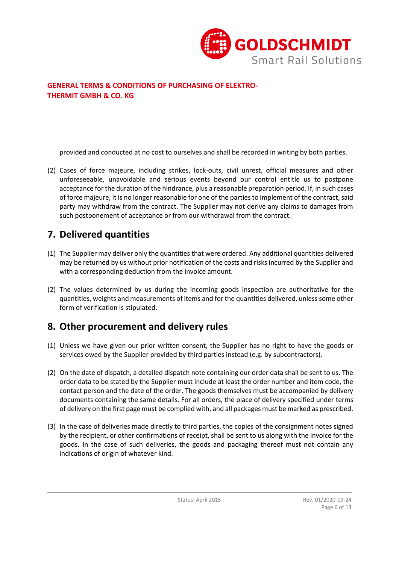

provided and conducted at no cost to ourselves and shall be recorded in writing by both parties.

(2) Cases of force majeure, including strikes, lock-outs, civil unrest, official measures and other unforeseeable, unavoidable and serious events beyond our control entitle us to postpone acceptance for the duration of the hindrance, plus a reasonable preparation period. If, in such cases of force majeure, it is no longer reasonable for one of the parties to implement of the contract, said party may withdraw from the contract. The Supplier may not derive any claims to damages from such postponement of acceptance or from our withdrawal from the contract.

#### **7. Delivered quantities**

- (1) The Supplier may deliver only the quantities that were ordered. Any additional quantities delivered may be returned by us without prior notification of the costs and risks incurred by the Supplier and with a corresponding deduction from the invoice amount.
- (2) The values determined by us during the incoming goods inspection are authoritative for the quantities, weights and measurements of items and for the quantities delivered, unless some other form of verification is stipulated.

#### **8. Other procurement and delivery rules**

- (1) Unless we have given our prior written consent, the Supplier has no right to have the goods or services owed by the Supplier provided by third parties instead (e.g. by subcontractors).
- (2) On the date of dispatch, a detailed dispatch note containing our order data shall be sent to us. The order data to be stated by the Supplier must include at least the order number and item code, the contact person and the date of the order. The goods themselves must be accompanied by delivery documents containing the same details. For all orders, the place of delivery specified under terms of delivery on the first page must be complied with, and all packages must be marked as prescribed.
- (3) In the case of deliveries made directly to third parties, the copies of the consignment notes signed by the recipient, or other confirmations of receipt, shall be sent to us along with the invoice for the goods. In the case of such deliveries, the goods and packaging thereof must not contain any indications of origin of whatever kind.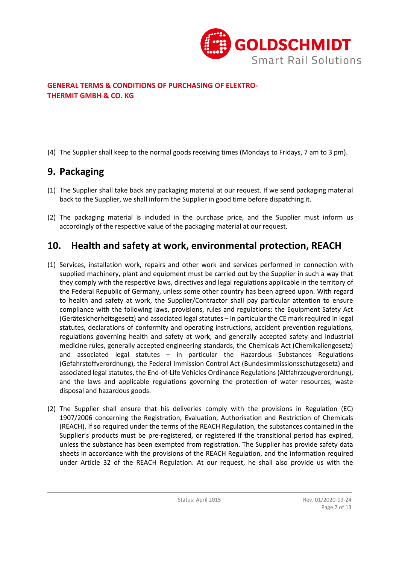

(4) The Supplier shall keep to the normal goods receiving times (Mondays to Fridays, 7 am to 3 pm).

#### **9. Packaging**

- (1) The Supplier shall take back any packaging material at our request. If we send packaging material back to the Supplier, we shall inform the Supplier in good time before dispatching it.
- (2) The packaging material is included in the purchase price, and the Supplier must inform us accordingly of the respective value of the packaging material at our request.

#### **10. Health and safety at work, environmental protection, REACH**

- (1) Services, installation work, repairs and other work and services performed in connection with supplied machinery, plant and equipment must be carried out by the Supplier in such a way that they comply with the respective laws, directives and legal regulations applicable in the territory of the Federal Republic of Germany, unless some other country has been agreed upon. With regard to health and safety at work, the Supplier/Contractor shall pay particular attention to ensure compliance with the following laws, provisions, rules and regulations: the Equipment Safety Act (Gerätesicherheitsgesetz) and associated legal statutes – in particular the CE mark required in legal statutes, declarations of conformity and operating instructions, accident prevention regulations, regulations governing health and safety at work, and generally accepted safety and industrial medicine rules, generally accepted engineering standards, the Chemicals Act (Chemikaliengesetz) and associated legal statutes – in particular the Hazardous Substances Regulations (Gefahrstoffverordnung), the Federal Immission Control Act (Bundesimmissionsschutzgesetz) and associated legal statutes, the End-of-Life Vehicles Ordinance Regulations (Altfahrzeugverordnung), and the laws and applicable regulations governing the protection of water resources, waste disposal and hazardous goods.
- (2) The Supplier shall ensure that his deliveries comply with the provisions in Regulation (EC) 1907/2006 concerning the Registration, Evaluation, Authorisation and Restriction of Chemicals (REACH). If so required under the terms of the REACH Regulation, the substances contained in the Supplier's products must be pre-registered, or registered if the transitional period has expired, unless the substance has been exempted from registration. The Supplier has provide safety data sheets in accordance with the provisions of the REACH Regulation, and the information required under Article 32 of the REACH Regulation. At our request, he shall also provide us with the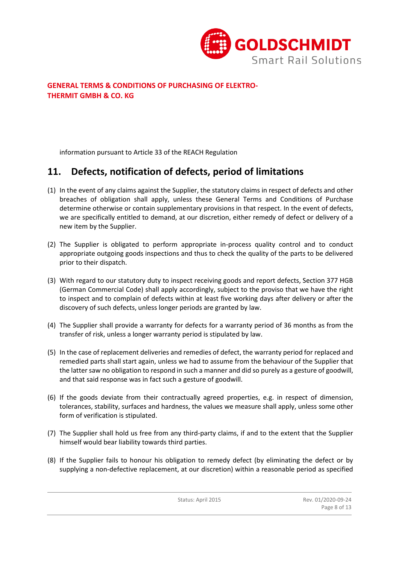

information pursuant to Article 33 of the REACH Regulation

#### **11. Defects, notification of defects, period of limitations**

- (1) In the event of any claims against the Supplier, the statutory claims in respect of defects and other breaches of obligation shall apply, unless these General Terms and Conditions of Purchase determine otherwise or contain supplementary provisions in that respect. In the event of defects, we are specifically entitled to demand, at our discretion, either remedy of defect or delivery of a new item by the Supplier.
- (2) The Supplier is obligated to perform appropriate in-process quality control and to conduct appropriate outgoing goods inspections and thus to check the quality of the parts to be delivered prior to their dispatch.
- (3) With regard to our statutory duty to inspect receiving goods and report defects, Section 377 HGB (German Commercial Code) shall apply accordingly, subject to the proviso that we have the right to inspect and to complain of defects within at least five working days after delivery or after the discovery of such defects, unless longer periods are granted by law.
- (4) The Supplier shall provide a warranty for defects for a warranty period of 36 months as from the transfer of risk, unless a longer warranty period is stipulated by law.
- (5) In the case of replacement deliveries and remedies of defect, the warranty period for replaced and remedied parts shall start again, unless we had to assume from the behaviour of the Supplier that the latter saw no obligation to respond in such a manner and did so purely as a gesture of goodwill, and that said response was in fact such a gesture of goodwill.
- (6) If the goods deviate from their contractually agreed properties, e.g. in respect of dimension, tolerances, stability, surfaces and hardness, the values we measure shall apply, unless some other form of verification is stipulated.
- (7) The Supplier shall hold us free from any third-party claims, if and to the extent that the Supplier himself would bear liability towards third parties.
- (8) If the Supplier fails to honour his obligation to remedy defect (by eliminating the defect or by supplying a non-defective replacement, at our discretion) within a reasonable period as specified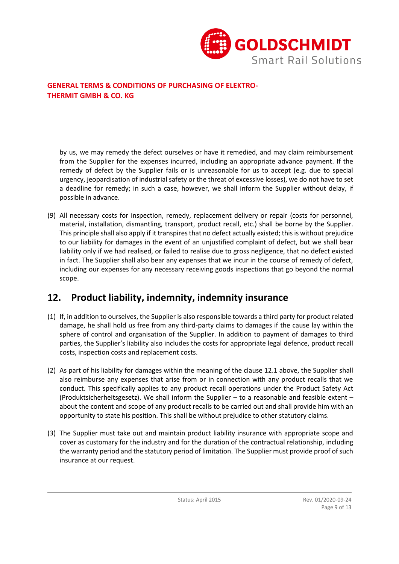

by us, we may remedy the defect ourselves or have it remedied, and may claim reimbursement from the Supplier for the expenses incurred, including an appropriate advance payment. If the remedy of defect by the Supplier fails or is unreasonable for us to accept (e.g. due to special urgency, jeopardisation of industrial safety or the threat of excessive losses), we do not have to set a deadline for remedy; in such a case, however, we shall inform the Supplier without delay, if possible in advance.

(9) All necessary costs for inspection, remedy, replacement delivery or repair (costs for personnel, material, installation, dismantling, transport, product recall, etc.) shall be borne by the Supplier. This principle shall also apply if it transpires that no defect actually existed; this is without prejudice to our liability for damages in the event of an unjustified complaint of defect, but we shall bear liability only if we had realised, or failed to realise due to gross negligence, that no defect existed in fact. The Supplier shall also bear any expenses that we incur in the course of remedy of defect, including our expenses for any necessary receiving goods inspections that go beyond the normal scope.

#### **12. Product liability, indemnity, indemnity insurance**

- (1) If, in addition to ourselves, the Supplier is also responsible towards a third party for product related damage, he shall hold us free from any third-party claims to damages if the cause lay within the sphere of control and organisation of the Supplier. In addition to payment of damages to third parties, the Supplier's liability also includes the costs for appropriate legal defence, product recall costs, inspection costs and replacement costs.
- (2) As part of his liability for damages within the meaning of the clause 12.1 above, the Supplier shall also reimburse any expenses that arise from or in connection with any product recalls that we conduct. This specifically applies to any product recall operations under the Product Safety Act (Produktsicherheitsgesetz). We shall inform the Supplier – to a reasonable and feasible extent – about the content and scope of any product recalls to be carried out and shall provide him with an opportunity to state his position. This shall be without prejudice to other statutory claims.
- (3) The Supplier must take out and maintain product liability insurance with appropriate scope and cover as customary for the industry and for the duration of the contractual relationship, including the warranty period and the statutory period of limitation. The Supplier must provide proof of such insurance at our request.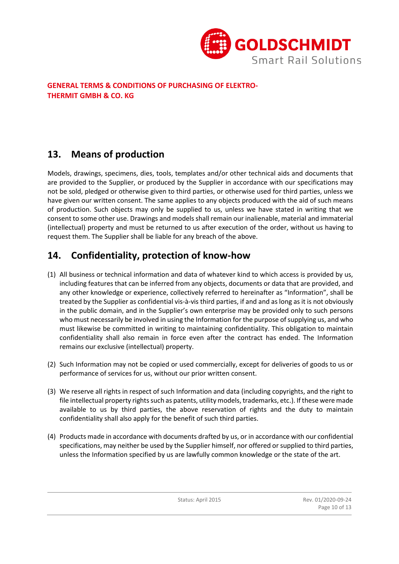

#### **13. Means of production**

Models, drawings, specimens, dies, tools, templates and/or other technical aids and documents that are provided to the Supplier, or produced by the Supplier in accordance with our specifications may not be sold, pledged or otherwise given to third parties, or otherwise used for third parties, unless we have given our written consent. The same applies to any objects produced with the aid of such means of production. Such objects may only be supplied to us, unless we have stated in writing that we consent to some other use. Drawings and models shall remain our inalienable, material and immaterial (intellectual) property and must be returned to us after execution of the order, without us having to request them. The Supplier shall be liable for any breach of the above.

#### **14. Confidentiality, protection of know-how**

- (1) All business or technical information and data of whatever kind to which access is provided by us, including features that can be inferred from any objects, documents or data that are provided, and any other knowledge or experience, collectively referred to hereinafter as "Information", shall be treated by the Supplier as confidential vis-à-vis third parties, if and and as long as it is not obviously in the public domain, and in the Supplier's own enterprise may be provided only to such persons who must necessarily be involved in using the Information for the purpose of supplying us, and who must likewise be committed in writing to maintaining confidentiality. This obligation to maintain confidentiality shall also remain in force even after the contract has ended. The Information remains our exclusive (intellectual) property.
- (2) Such Information may not be copied or used commercially, except for deliveries of goods to us or performance of services for us, without our prior written consent.
- (3) We reserve all rights in respect of such Information and data (including copyrights, and the right to file intellectual property rights such as patents, utility models, trademarks, etc.). If these were made available to us by third parties, the above reservation of rights and the duty to maintain confidentiality shall also apply for the benefit of such third parties.
- (4) Products made in accordance with documents drafted by us, or in accordance with our confidential specifications, may neither be used by the Supplier himself, nor offered or supplied to third parties, unless the Information specified by us are lawfully common knowledge or the state of the art.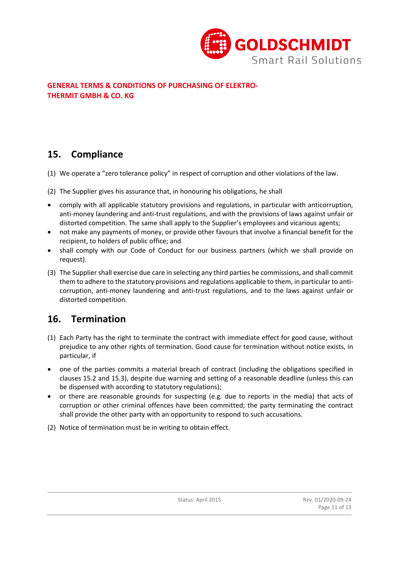

#### **15. Compliance**

- (1) We operate a "zero tolerance policy" in respect of corruption and other violations of the law.
- (2) The Supplier gives his assurance that, in honouring his obligations, he shall
- comply with all applicable statutory provisions and regulations, in particular with anticorruption, anti-money laundering and anti-trust regulations, and with the provisions of laws against unfair or distorted competition. The same shall apply to the Supplier's employees and vicarious agents;
- not make any payments of money, or provide other favours that involve a financial benefit for the recipient, to holders of public office; and
- shall comply with our Code of Conduct for our business partners (which we shall provide on request).
- (3) The Supplier shall exercise due care in selecting any third parties he commissions, and shall commit them to adhere to the statutory provisions and regulations applicable to them, in particular to anticorruption, anti-money laundering and anti-trust regulations, and to the laws against unfair or distorted competition.

#### **16. Termination**

- (1) Each Party has the right to terminate the contract with immediate effect for good cause, without prejudice to any other rights of termination. Good cause for termination without notice exists, in particular, if
- one of the parties commits a material breach of contract (including the obligations specified in clauses 15.2 and 15.3), despite due warning and setting of a reasonable deadline (unless this can be dispensed with according to statutory regulations);
- or there are reasonable grounds for suspecting (e.g. due to reports in the media) that acts of corruption or other criminal offences have been committed; the party terminating the contract shall provide the other party with an opportunity to respond to such accusations.
- (2) Notice of termination must be in writing to obtain effect.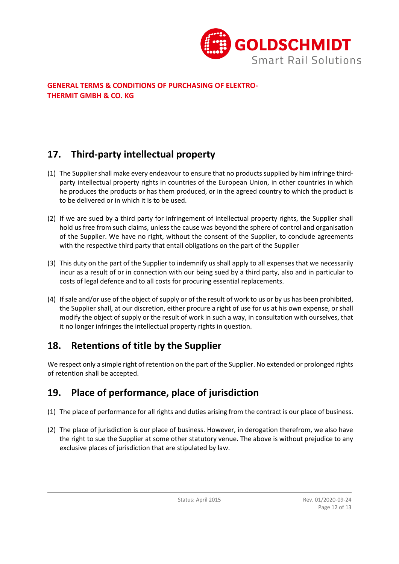

### **17. Third-party intellectual property**

- (1) The Supplier shall make every endeavour to ensure that no products supplied by him infringe thirdparty intellectual property rights in countries of the European Union, in other countries in which he produces the products or has them produced, or in the agreed country to which the product is to be delivered or in which it is to be used.
- (2) If we are sued by a third party for infringement of intellectual property rights, the Supplier shall hold us free from such claims, unless the cause was beyond the sphere of control and organisation of the Supplier. We have no right, without the consent of the Supplier, to conclude agreements with the respective third party that entail obligations on the part of the Supplier
- (3) This duty on the part of the Supplier to indemnify us shall apply to all expenses that we necessarily incur as a result of or in connection with our being sued by a third party, also and in particular to costs of legal defence and to all costs for procuring essential replacements.
- (4) If sale and/or use of the object of supply or of the result of work to us or by us has been prohibited, the Supplier shall, at our discretion, either procure a right of use for us at his own expense, or shall modify the object of supply or the result of work in such a way, in consultation with ourselves, that it no longer infringes the intellectual property rights in question.

#### **18. Retentions of title by the Supplier**

We respect only a simple right of retention on the part of the Supplier. No extended or prolonged rights of retention shall be accepted.

#### **19. Place of performance, place of jurisdiction**

- (1) The place of performance for all rights and duties arising from the contract is our place of business.
- (2) The place of jurisdiction is our place of business. However, in derogation therefrom, we also have the right to sue the Supplier at some other statutory venue. The above is without prejudice to any exclusive places of jurisdiction that are stipulated by law.